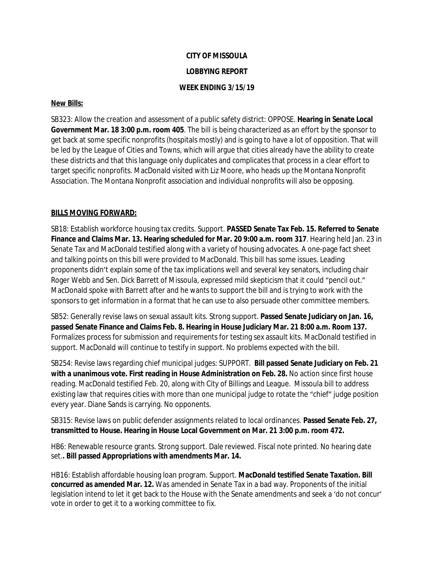## **CITY OF MISSOULA LOBBYING REPORT WEEK ENDING 3/15/19**

## **New Bills:**

SB323: Allow the creation and assessment of a public safety district: OPPOSE. **Hearing in Senate Local Government Mar. 18 3:00 p.m. room 405**. The bill is being characterized as an effort by the sponsor to get back at some specific nonprofits (hospitals mostly) and is going to have a lot of opposition. That will be led by the League of Cities and Towns, which will argue that cities already have the ability to create these districts and that this language only duplicates and complicates that process in a clear effort to target specific nonprofits. MacDonald visited with Liz Moore, who heads up the Montana Nonprofit Association. The Montana Nonprofit association and individual nonprofits will also be opposing.

## **BILLS MOVING FORWARD:**

SB18: Establish workforce housing tax credits. Support. **PASSED Senate Tax Feb. 15. Referred to Senate Finance and Claims Mar. 13. Hearing scheduled for Mar. 20 9:00 a.m. room 317**. Hearing held Jan. 23 in Senate Tax and MacDonald testified along with a variety of housing advocates. A one-page fact sheet and talking points on this bill were provided to MacDonald. This bill has some issues. Leading proponents didn't explain some of the tax implications well and several key senators, including chair Roger Webb and Sen. Dick Barrett of Missoula, expressed mild skepticism that it could "pencil out." MacDonald spoke with Barrett after and he wants to support the bill and is trying to work with the sponsors to get information in a format that he can use to also persuade other committee members.

SB52: Generally revise laws on sexual assault kits. Strong support. **Passed Senate Judiciary on Jan. 16, passed Senate Finance and Claims Feb. 8. Hearing in House Judiciary Mar. 21 8:00 a.m. Room 137.** Formalizes process for submission and requirements for testing sex assault kits. MacDonald testified in support. MacDonald will continue to testify in support. No problems expected with the bill.

SB254: Revise laws regarding chief municipal judges: SUPPORT. **Bill passed Senate Judiciary on Feb. 21 with a unanimous vote. First reading in House Administration on Feb. 28.** No action since first house reading. MacDonald testified Feb. 20, along with City of Billings and League. Missoula bill to address existing law that requires cities with more than one municipal judge to rotate the "chief" judge position every year. Diane Sands is carrying. No opponents.

SB315: Revise laws on public defender assignments related to local ordinances. **Passed Senate Feb. 27, transmitted to House. Hearing in House Local Government on Mar. 21 3:00 p.m. room 472.**

HB6: Renewable resource grants. Strong support. Dale reviewed. Fiscal note printed. No hearing date set.**. Bill passed Appropriations with amendments Mar. 14.**

HB16: Establish affordable housing loan program. Support. **MacDonald testified Senate Taxation. Bill concurred as amended Mar. 12.** Was amended in Senate Tax in a bad way. Proponents of the initial legislation intend to let it get back to the House with the Senate amendments and seek a 'do not concur' vote in order to get it to a working committee to fix.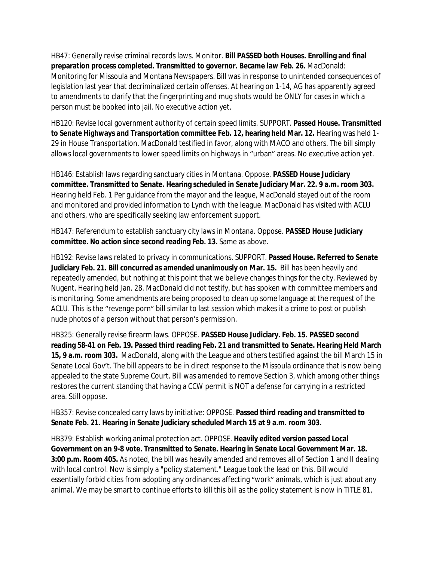HB47: Generally revise criminal records laws. Monitor. **Bill PASSED both Houses. Enrolling and final preparation process completed. Transmitted to governor. Became law Feb. 26.** MacDonald: Monitoring for Missoula and Montana Newspapers. Bill was in response to unintended consequences of legislation last year that decriminalized certain offenses. At hearing on 1-14, AG has apparently agreed to amendments to clarify that the fingerprinting and mug shots would be ONLY for cases in which a person must be booked into jail. No executive action yet.

HB120: Revise local government authority of certain speed limits. SUPPORT. **Passed House. Transmitted to Senate Highways and Transportation committee Feb. 12, hearing held Mar. 12.** Hearing was held 1- 29 in House Transportation. MacDonald testified in favor, along with MACO and others. The bill simply allows local governments to lower speed limits on highways in "urban" areas. No executive action yet.

HB146: Establish laws regarding sanctuary cities in Montana. Oppose. **PASSED House Judiciary committee. Transmitted to Senate. Hearing scheduled in Senate Judiciary Mar. 22. 9 a.m. room 303.** Hearing held Feb. 1 Per guidance from the mayor and the league, MacDonald stayed out of the room and monitored and provided information to Lynch with the league. MacDonald has visited with ACLU and others, who are specifically seeking law enforcement support.

HB147: Referendum to establish sanctuary city laws in Montana. Oppose. **PASSED House Judiciary committee. No action since second reading Feb. 13.** Same as above.

HB192: Revise laws related to privacy in communications. SUPPORT. **Passed House. Referred to Senate Judiciary Feb. 21. Bill concurred as amended unanimously on Mar. 15.** Bill has been heavily and repeatedly amended, but nothing at this point that we believe changes things for the city. Reviewed by Nugent. Hearing held Jan. 28. MacDonald did not testify, but has spoken with committee members and is monitoring. Some amendments are being proposed to clean up some language at the request of the ACLU. This is the "revenge porn" bill similar to last session which makes it a crime to post or publish nude photos of a person without that person's permission.

HB325: Generally revise firearm laws. OPPOSE. **PASSED House Judiciary. Feb. 15. PASSED second reading 58-41 on Feb. 19. Passed third reading Feb. 21 and transmitted to Senate. Hearing Held March 15, 9 a.m. room 303.** MacDonald, along with the League and others testified against the bill March 15 in Senate Local Gov't. The bill appears to be in direct response to the Missoula ordinance that is now being appealed to the state Supreme Court. Bill was amended to remove Section 3, which among other things restores the current standing that having a CCW permit is NOT a defense for carrying in a restricted area. Still oppose.

HB357: Revise concealed carry laws by initiative: OPPOSE. **Passed third reading and transmitted to Senate Feb. 21. Hearing in Senate Judiciary scheduled March 15 at 9 a.m. room 303.**

HB379: Establish working animal protection act. OPPOSE. **Heavily edited version passed Local Government on an 9-8 vote. Transmitted to Senate. Hearing in Senate Local Government Mar. 18. 3:00 p.m. Room 405.** As noted, the bill was heavily amended and removes all of Section 1 and II dealing with local control. Now is simply a "policy statement." League took the lead on this. Bill would essentially forbid cities from adopting any ordinances affecting "work" animals, which is just about any animal. We may be smart to continue efforts to kill this bill as the policy statement is now in TITLE 81,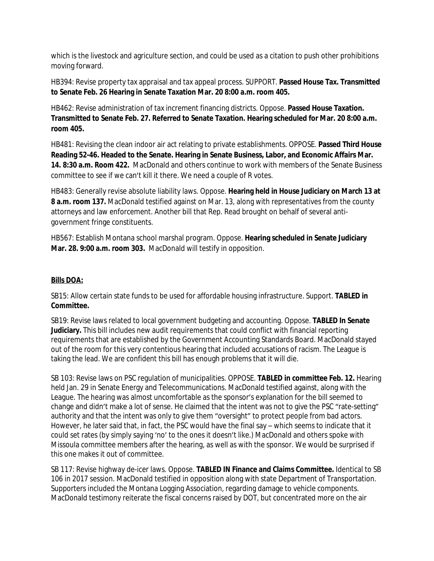which is the livestock and agriculture section, and could be used as a citation to push other prohibitions moving forward.

HB394: Revise property tax appraisal and tax appeal process. SUPPORT. **Passed House Tax. Transmitted to Senate Feb. 26 Hearing in Senate Taxation Mar. 20 8:00 a.m. room 405.**

HB462: Revise administration of tax increment financing districts. Oppose. **Passed House Taxation. Transmitted to Senate Feb. 27. Referred to Senate Taxation. Hearing scheduled for Mar. 20 8:00 a.m. room 405.**

HB481: Revising the clean indoor air act relating to private establishments. OPPOSE. **Passed Third House Reading 52-46. Headed to the Senate. Hearing in Senate Business, Labor, and Economic Affairs Mar. 14. 8:30 a.m. Room 422.** MacDonald and others continue to work with members of the Senate Business committee to see if we can't kill it there. We need a couple of R votes.

HB483: Generally revise absolute liability laws. Oppose. **Hearing held in House Judiciary on March 13 at 8 a.m. room 137.** MacDonald testified against on Mar. 13, along with representatives from the county attorneys and law enforcement. Another bill that Rep. Read brought on behalf of several antigovernment fringe constituents.

HB567: Establish Montana school marshal program. Oppose. **Hearing scheduled in Senate Judiciary Mar. 28. 9:00 a.m. room 303.** MacDonald will testify in opposition.

## **Bills DOA:**

SB15: Allow certain state funds to be used for affordable housing infrastructure. Support. **TABLED in Committee.**

SB19: Revise laws related to local government budgeting and accounting. Oppose. **TABLED In Senate Judiciary.** This bill includes new audit requirements that could conflict with financial reporting requirements that are established by the Government Accounting Standards Board. MacDonald stayed out of the room for this very contentious hearing that included accusations of racism. The League is taking the lead. We are confident this bill has enough problems that it will die.

SB 103: Revise laws on PSC regulation of municipalities. OPPOSE. **TABLED in committee Feb. 12.** Hearing held Jan. 29 in Senate Energy and Telecommunications. MacDonald testified against, along with the League. The hearing was almost uncomfortable as the sponsor's explanation for the bill seemed to change and didn't make a lot of sense. He claimed that the intent was not to give the PSC "rate-setting" authority and that the intent was only to give them "oversight" to protect people from bad actors. However, he later said that, in fact, the PSC would have the final say – which seems to indicate that it could set rates (by simply saying 'no' to the ones it doesn't like.) MacDonald and others spoke with Missoula committee members after the hearing, as well as with the sponsor. We would be surprised if this one makes it out of committee.

SB 117: Revise highway de-icer laws. Oppose. **TABLED IN Finance and Claims Committee.** Identical to SB 106 in 2017 session. MacDonald testified in opposition along with state Department of Transportation. Supporters included the Montana Logging Association, regarding damage to vehicle components. MacDonald testimony reiterate the fiscal concerns raised by DOT, but concentrated more on the air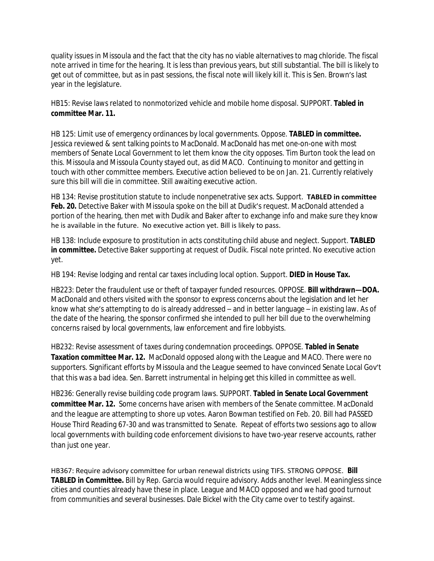quality issues in Missoula and the fact that the city has no viable alternatives to mag chloride. The fiscal note arrived in time for the hearing. It is less than previous years, but still substantial. The bill is likely to get out of committee, but as in past sessions, the fiscal note will likely kill it. This is Sen. Brown's last year in the legislature.

HB15: Revise laws related to nonmotorized vehicle and mobile home disposal. SUPPORT. **Tabled in committee Mar. 11.**

HB 125: Limit use of emergency ordinances by local governments. Oppose. **TABLED in committee.** Jessica reviewed & sent talking points to MacDonald. MacDonald has met one-on-one with most members of Senate Local Government to let them know the city opposes. Tim Burton took the lead on this. Missoula and Missoula County stayed out, as did MACO. Continuing to monitor and getting in touch with other committee members. Executive action believed to be on Jan. 21. Currently relatively sure this bill will die in committee. Still awaiting executive action.

HB 134: Revise prostitution statute to include nonpenetrative sex acts. Support. **TABLED in committee**  Feb. 20. Detective Baker with Missoula spoke on the bill at Dudik's request. MacDonald attended a portion of the hearing, then met with Dudik and Baker after to exchange info and make sure they know he is available in the future. No executive action yet. Bill is likely to pass.

HB 138: Include exposure to prostitution in acts constituting child abuse and neglect. Support. **TABLED in committee.** Detective Baker supporting at request of Dudik. Fiscal note printed. No executive action yet.

HB 194: Revise lodging and rental car taxes including local option. Support. **DIED in House Tax.**

HB223: Deter the fraudulent use or theft of taxpayer funded resources. OPPOSE. **Bill withdrawn—DOA.**  MacDonald and others visited with the sponsor to express concerns about the legislation and let her know what she's attempting to do is already addressed – and in better language – in existing law. As of the date of the hearing, the sponsor confirmed she intended to pull her bill due to the overwhelming concerns raised by local governments, law enforcement and fire lobbyists.

HB232: Revise assessment of taxes during condemnation proceedings. OPPOSE. **Tabled in Senate Taxation committee Mar. 12.** MacDonald opposed along with the League and MACO. There were no supporters. Significant efforts by Missoula and the League seemed to have convinced Senate Local Gov't that this was a bad idea. Sen. Barrett instrumental in helping get this killed in committee as well.

HB236: Generally revise building code program laws. SUPPORT. **Tabled in Senate Local Government committee Mar. 12.** Some concerns have arisen with members of the Senate committee. MacDonald and the league are attempting to shore up votes. Aaron Bowman testified on Feb. 20. Bill had PASSED House Third Reading 67-30 and was transmitted to Senate. Repeat of efforts two sessions ago to allow local governments with building code enforcement divisions to have two-year reserve accounts, rather than just one year.

HB367: Require advisory committee for urban renewal districts using TIFS. STRONG OPPOSE. **Bill TABLED in Committee.** Bill by Rep. Garcia would require advisory. Adds another level. Meaningless since cities and counties already have these in place. League and MACO opposed and we had good turnout from communities and several businesses. Dale Bickel with the City came over to testify against.